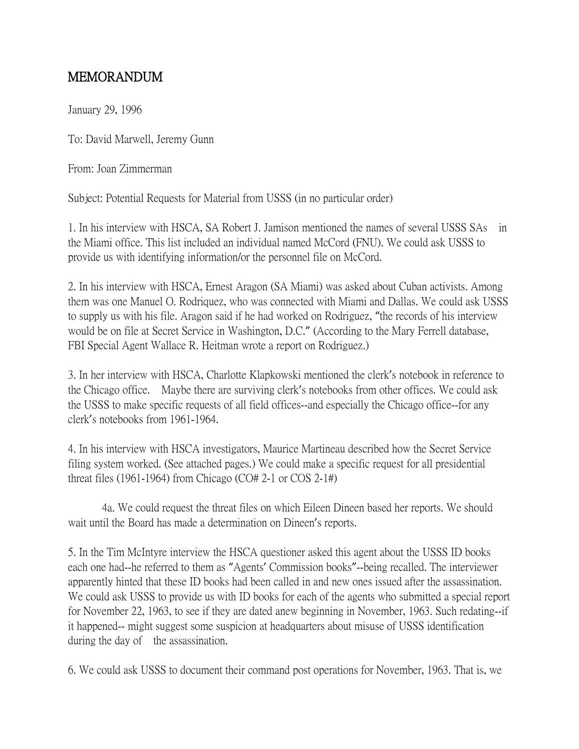## MEMORANDUM

January 29, 1996

To: David Marwell, Jeremy Gunn

From: Joan Zimmerman

Subject: Potential Requests for Material from USSS (in no particular order)

1. In his interview with HSCA, SA Robert J. Jamison mentioned the names of several USSS SAs in the Miami office. This list included an individual named McCord (FNU). We could ask USSS to provide us with identifying information/or the personnel file on McCord.

2. In his interview with HSCA, Ernest Aragon (SA Miami) was asked about Cuban activists. Among them was one Manuel O. Rodriquez, who was connected with Miami and Dallas. We could ask USSS to supply us with his file. Aragon said if he had worked on Rodriguez, "the records of his interview would be on file at Secret Service in Washington, D.C." (According to the Mary Ferrell database, FBI Special Agent Wallace R. Heitman wrote a report on Rodriguez.)

3. In her interview with HSCA, Charlotte Klapkowski mentioned the clerk's notebook in reference to the Chicago office. Maybe there are surviving clerk's notebooks from other offices. We could ask the USSS to make specific requests of all field offices--and especially the Chicago office--for any clerk's notebooks from 1961-1964.

4. In his interview with HSCA investigators, Maurice Martineau described how the Secret Service filing system worked. (See attached pages.) We could make a specific request for all presidential threat files (1961-1964) from Chicago (CO# 2-1 or COS 2-1#)

4a. We could request the threat files on which Eileen Dineen based her reports. We should wait until the Board has made a determination on Dineen's reports.

5. In the Tim McIntyre interview the HSCA questioner asked this agent about the USSS ID books each one had--he referred to them as "Agents' Commission books"--being recalled. The interviewer apparently hinted that these ID books had been called in and new ones issued after the assassination. We could ask USSS to provide us with ID books for each of the agents who submitted a special report for November 22, 1963, to see if they are dated anew beginning in November, 1963. Such redating--if it happened-- might suggest some suspicion at headquarters about misuse of USSS identification during the day of the assassination.

6. We could ask USSS to document their command post operations for November, 1963. That is, we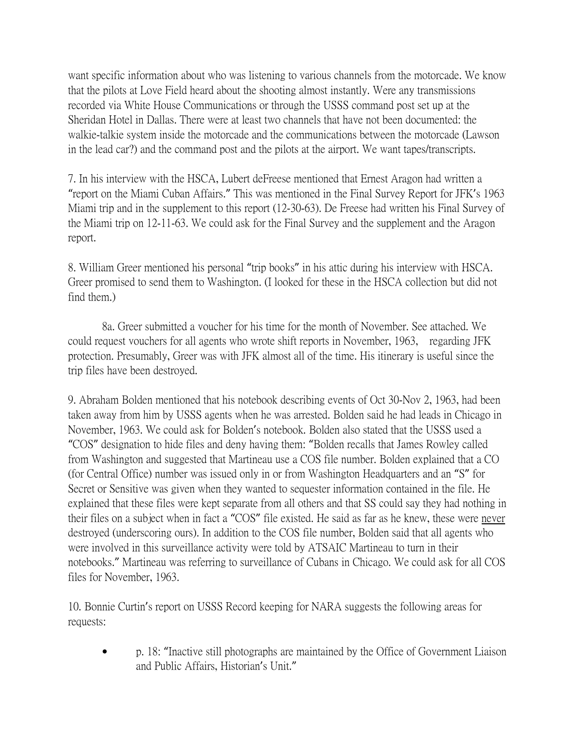want specific information about who was listening to various channels from the motorcade. We know that the pilots at Love Field heard about the shooting almost instantly. Were any transmissions recorded via White House Communications or through the USSS command post set up at the Sheridan Hotel in Dallas. There were at least two channels that have not been documented: the walkie-talkie system inside the motorcade and the communications between the motorcade (Lawson in the lead car?) and the command post and the pilots at the airport. We want tapes/transcripts.

7. In his interview with the HSCA, Lubert deFreese mentioned that Ernest Aragon had written a "report on the Miami Cuban Affairs." This was mentioned in the Final Survey Report for JFK's 1963 Miami trip and in the supplement to this report (12-30-63). De Freese had written his Final Survey of the Miami trip on 12-11-63. We could ask for the Final Survey and the supplement and the Aragon report.

8. William Greer mentioned his personal "trip books" in his attic during his interview with HSCA. Greer promised to send them to Washington. (I looked for these in the HSCA collection but did not find them.)

8a. Greer submitted a voucher for his time for the month of November. See attached. We could request vouchers for all agents who wrote shift reports in November, 1963, regarding JFK protection. Presumably, Greer was with JFK almost all of the time. His itinerary is useful since the trip files have been destroyed.

9. Abraham Bolden mentioned that his notebook describing events of Oct 30-Nov 2, 1963, had been taken away from him by USSS agents when he was arrested. Bolden said he had leads in Chicago in November, 1963. We could ask for Bolden's notebook. Bolden also stated that the USSS used a "COS" designation to hide files and deny having them: "Bolden recalls that James Rowley called from Washington and suggested that Martineau use a COS file number. Bolden explained that a CO (for Central Office) number was issued only in or from Washington Headquarters and an "S" for Secret or Sensitive was given when they wanted to sequester information contained in the file. He explained that these files were kept separate from all others and that SS could say they had nothing in their files on a subject when in fact a "COS" file existed. He said as far as he knew, these were never destroyed (underscoring ours). In addition to the COS file number, Bolden said that all agents who were involved in this surveillance activity were told by ATSAIC Martineau to turn in their notebooks." Martineau was referring to surveillance of Cubans in Chicago. We could ask for all COS files for November, 1963.

10. Bonnie Curtin's report on USSS Record keeping for NARA suggests the following areas for requests:

• p. 18: "Inactive still photographs are maintained by the Office of Government Liaison and Public Affairs, Historian's Unit."